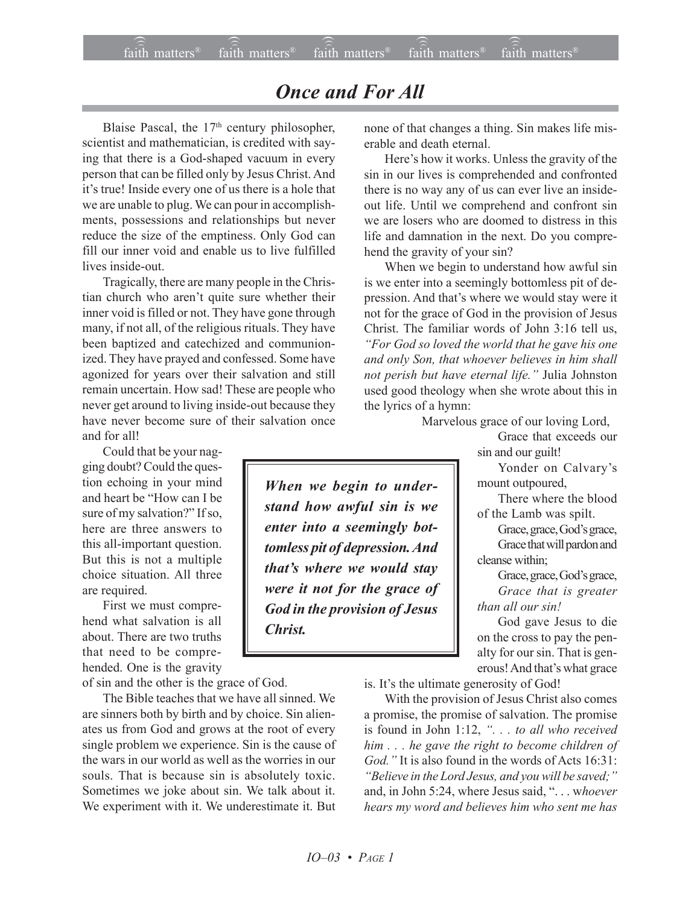## *Once and For All*

Blaise Pascal, the  $17<sup>th</sup>$  century philosopher, scientist and mathematician, is credited with saying that there is a God-shaped vacuum in every person that can be filled only by Jesus Christ. And it's true! Inside every one of us there is a hole that we are unable to plug. We can pour in accomplishments, possessions and relationships but never reduce the size of the emptiness. Only God can fill our inner void and enable us to live fulfilled lives inside-out.

Tragically, there are many people in the Christian church who aren't quite sure whether their inner void is filled or not. They have gone through many, if not all, of the religious rituals. They have been baptized and catechized and communionized. They have prayed and confessed. Some have agonized for years over their salvation and still remain uncertain. How sad! These are people who never get around to living inside-out because they have never become sure of their salvation once and for all!

Could that be your nagging doubt? Could the question echoing in your mind and heart be "How can I be sure of my salvation?" If so, here are three answers to this all-important question. But this is not a multiple choice situation. All three are required.

First we must comprehend what salvation is all about. There are two truths that need to be comprehended. One is the gravity

of sin and the other is the grace of God.

The Bible teaches that we have all sinned. We are sinners both by birth and by choice. Sin alienates us from God and grows at the root of every single problem we experience. Sin is the cause of the wars in our world as well as the worries in our souls. That is because sin is absolutely toxic. Sometimes we joke about sin. We talk about it. We experiment with it. We underestimate it. But

none of that changes a thing. Sin makes life miserable and death eternal.

Here's how it works. Unless the gravity of the sin in our lives is comprehended and confronted there is no way any of us can ever live an insideout life. Until we comprehend and confront sin we are losers who are doomed to distress in this life and damnation in the next. Do you comprehend the gravity of your sin?

When we begin to understand how awful sin is we enter into a seemingly bottomless pit of depression. And that's where we would stay were it not for the grace of God in the provision of Jesus Christ. The familiar words of John 3:16 tell us, *ìFor God so loved the world that he gave his one and only Son, that whoever believes in him shall not perish but have eternal life.î* Julia Johnston used good theology when she wrote about this in the lyrics of a hymn:

Marvelous grace of our loving Lord,

Grace that exceeds our sin and our guilt!

Yonder on Calvary's mount outpoured,

There where the blood of the Lamb was spilt.

Grace, grace, God's grace, Grace that will pardon and cleanse within;

Grace, grace, God's grace, *Grace that is greater than all our sin!*

God gave Jesus to die on the cross to pay the penalty for our sin. That is generous! And that's what grace

is. It's the ultimate generosity of God!

With the provision of Jesus Christ also comes a promise, the promise of salvation. The promise is found in John 1:12, ". . . to all who received *him . . . he gave the right to become children of God.*" It is also found in the words of Acts 16:31: <sup>*<i><sup>8</sup>Believe in the Lord Jesus, and you will be saved;*<sup>*?*</sup></sup> and, in John 5:24, where Jesus said, "... whoever *hears my word and believes him who sent me has*

*When we begin to understand how awful sin is we enter into a seemingly bottomless pit of depression. And that's where we would stay were it not for the grace of God in the provision of Jesus Christ.*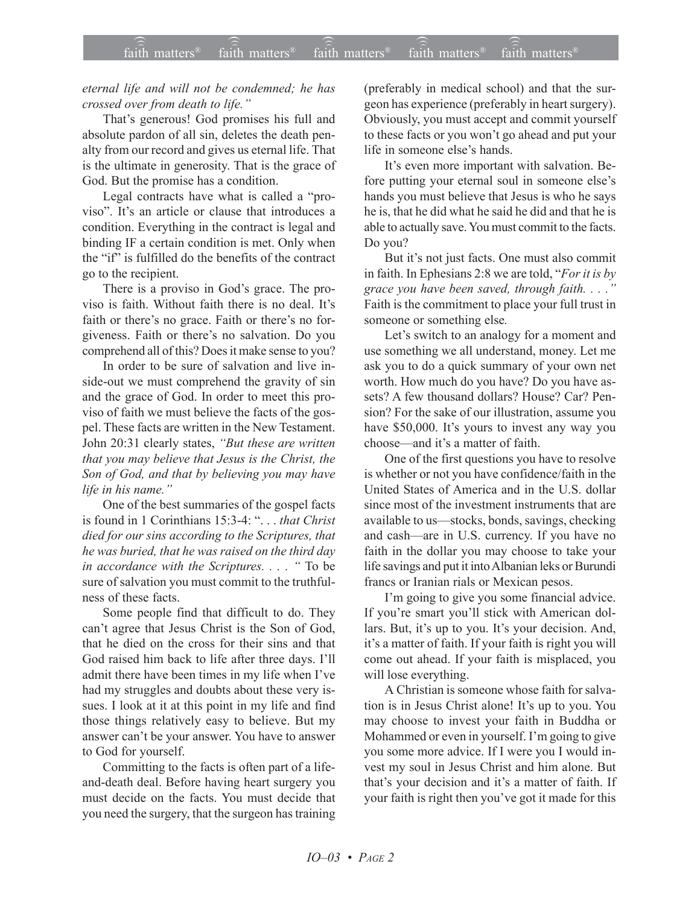*eternal life and will not be condemned; he has crossed over from death to life.*"

That's generous! God promises his full and absolute pardon of all sin, deletes the death penalty from our record and gives us eternal life. That is the ultimate in generosity. That is the grace of God. But the promise has a condition.

Legal contracts have what is called a "proviso". It's an article or clause that introduces a condition. Everything in the contract is legal and binding IF a certain condition is met. Only when the "if" is fulfilled do the benefits of the contract go to the recipient.

There is a proviso in God's grace. The proviso is faith. Without faith there is no deal. It's faith or there's no grace. Faith or there's no forgiveness. Faith or there's no salvation. Do you comprehend all of this? Does it make sense to you?

In order to be sure of salvation and live inside-out we must comprehend the gravity of sin and the grace of God. In order to meet this proviso of faith we must believe the facts of the gospel. These facts are written in the New Testament. John 20:31 clearly states, "But these are written *that you may believe that Jesus is the Christ, the Son of God, and that by believing you may have life in his name.*"

One of the best summaries of the gospel facts is found in 1 Corinthians 15:3-4: ". . . *that Christ died for our sins according to the Scriptures, that he was buried, that he was raised on the third day in accordance with the Scriptures....* " To be sure of salvation you must commit to the truthfulness of these facts.

Some people find that difficult to do. They can't agree that Jesus Christ is the Son of God, that he died on the cross for their sins and that God raised him back to life after three days. I'll admit there have been times in my life when I've had my struggles and doubts about these very issues. I look at it at this point in my life and find those things relatively easy to believe. But my answer canít be your answer. You have to answer to God for yourself.

Committing to the facts is often part of a lifeand-death deal. Before having heart surgery you must decide on the facts. You must decide that you need the surgery, that the surgeon has training

(preferably in medical school) and that the surgeon has experience (preferably in heart surgery). Obviously, you must accept and commit yourself to these facts or you won't go ahead and put your life in someone else's hands.

It's even more important with salvation. Before putting your eternal soul in someone else's hands you must believe that Jesus is who he says he is, that he did what he said he did and that he is able to actually save. You must commit to the facts. Do you?

But it's not just facts. One must also commit in faith. In Ephesians 2:8 we are told, *'For it is by grace you have been saved, through faith. . . .î* Faith is the commitment to place your full trust in someone or something else*.*

Let's switch to an analogy for a moment and use something we all understand, money. Let me ask you to do a quick summary of your own net worth. How much do you have? Do you have assets? A few thousand dollars? House? Car? Pension? For the sake of our illustration, assume you have \$50,000. It's yours to invest any way you choose—and it's a matter of faith.

One of the first questions you have to resolve is whether or not you have confidence/faith in the United States of America and in the U.S. dollar since most of the investment instruments that are available to us—stocks, bonds, savings, checking and cash—are in U.S. currency. If you have no faith in the dollar you may choose to take your life savings and put it into Albanian leks or Burundi francs or Iranian rials or Mexican pesos.

I'm going to give you some financial advice. If you're smart you'll stick with American dollars. But, it's up to you. It's your decision. And, it's a matter of faith. If your faith is right you will come out ahead. If your faith is misplaced, you will lose everything.

A Christian is someone whose faith for salvation is in Jesus Christ alone! It's up to you. You may choose to invest your faith in Buddha or Mohammed or even in yourself. I'm going to give you some more advice. If I were you I would invest my soul in Jesus Christ and him alone. But that's your decision and it's a matter of faith. If your faith is right then you've got it made for this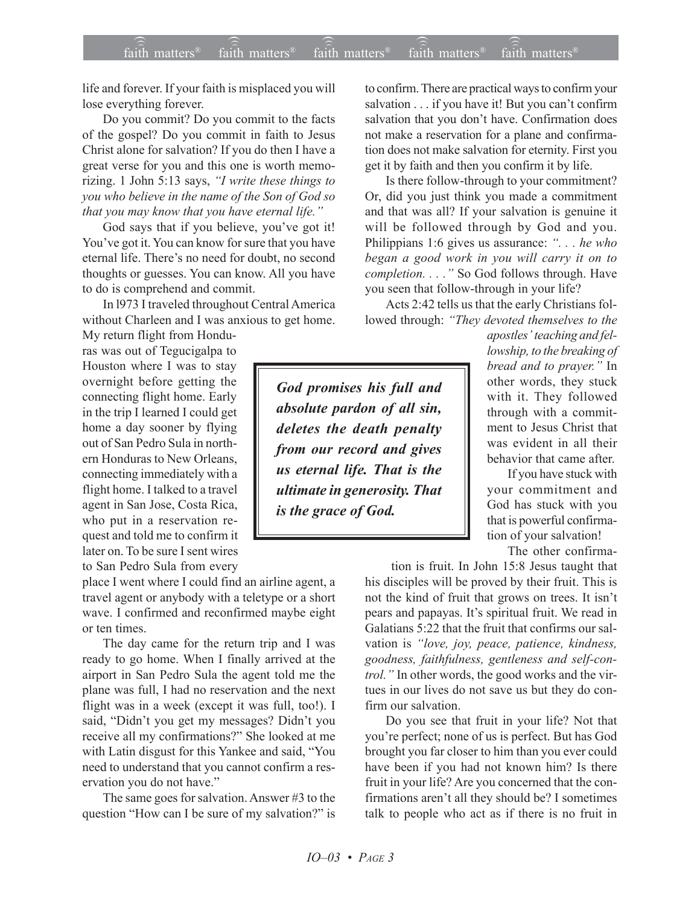life and forever. If your faith is misplaced you will lose everything forever.

Do you commit? Do you commit to the facts of the gospel? Do you commit in faith to Jesus Christ alone for salvation? If you do then I have a great verse for you and this one is worth memorizing. 1 John 5:13 says, *ìI write these things to you who believe in the name of the Son of God so that you may know that you have eternal life.î*

God says that if you believe, you've got it! You've got it. You can know for sure that you have eternal life. There's no need for doubt, no second thoughts or guesses. You can know. All you have to do is comprehend and commit.

In l973 I traveled throughout Central America without Charleen and I was anxious to get home.

My return flight from Honduras was out of Tegucigalpa to Houston where I was to stay overnight before getting the connecting flight home. Early in the trip I learned I could get home a day sooner by flying out of San Pedro Sula in northern Honduras to New Orleans, connecting immediately with a flight home. I talked to a travel agent in San Jose, Costa Rica, who put in a reservation request and told me to confirm it later on. To be sure I sent wires to San Pedro Sula from every

place I went where I could find an airline agent, a travel agent or anybody with a teletype or a short wave. I confirmed and reconfirmed maybe eight or ten times.

The day came for the return trip and I was ready to go home. When I finally arrived at the airport in San Pedro Sula the agent told me the plane was full, I had no reservation and the next flight was in a week (except it was full, too!). I said, "Didn't you get my messages? Didn't you receive all my confirmations?" She looked at me with Latin disgust for this Yankee and said, "You need to understand that you cannot confirm a reservation you do not have."

The same goes for salvation. Answer #3 to the question "How can I be sure of my salvation?" is to confirm. There are practical ways to confirm your salvation . . . if you have it! But you can't confirm salvation that you don't have. Confirmation does not make a reservation for a plane and confirmation does not make salvation for eternity. First you get it by faith and then you confirm it by life.

Is there follow-through to your commitment? Or, did you just think you made a commitment and that was all? If your salvation is genuine it will be followed through by God and you. Philippians 1:6 gives us assurance: "... he who *began a good work in you will carry it on to completion....*" So God follows through. Have you seen that follow-through in your life?

Acts 2:42 tells us that the early Christians followed through: "They devoted themselves to the

*God promises his full and absolute pardon of all sin, deletes the death penalty from our record and gives us eternal life. That is the ultimate in generosity. That is the grace of God.*

apostles' teaching and fel*lowship, to the breaking of bread and to prayer.*" In other words, they stuck with it. They followed through with a commitment to Jesus Christ that was evident in all their behavior that came after.

If you have stuck with your commitment and God has stuck with you that is powerful confirmation of your salvation!

The other confirma-

tion is fruit. In John 15:8 Jesus taught that his disciples will be proved by their fruit. This is not the kind of fruit that grows on trees. It isn't pears and papayas. It's spiritual fruit. We read in Galatians 5:22 that the fruit that confirms our salvation is "love, joy, peace, patience, kindness, *goodness, faithfulness, gentleness and self-control.*" In other words, the good works and the virtues in our lives do not save us but they do confirm our salvation.

Do you see that fruit in your life? Not that you're perfect; none of us is perfect. But has God brought you far closer to him than you ever could have been if you had not known him? Is there fruit in your life? Are you concerned that the confirmations aren't all they should be? I sometimes talk to people who act as if there is no fruit in